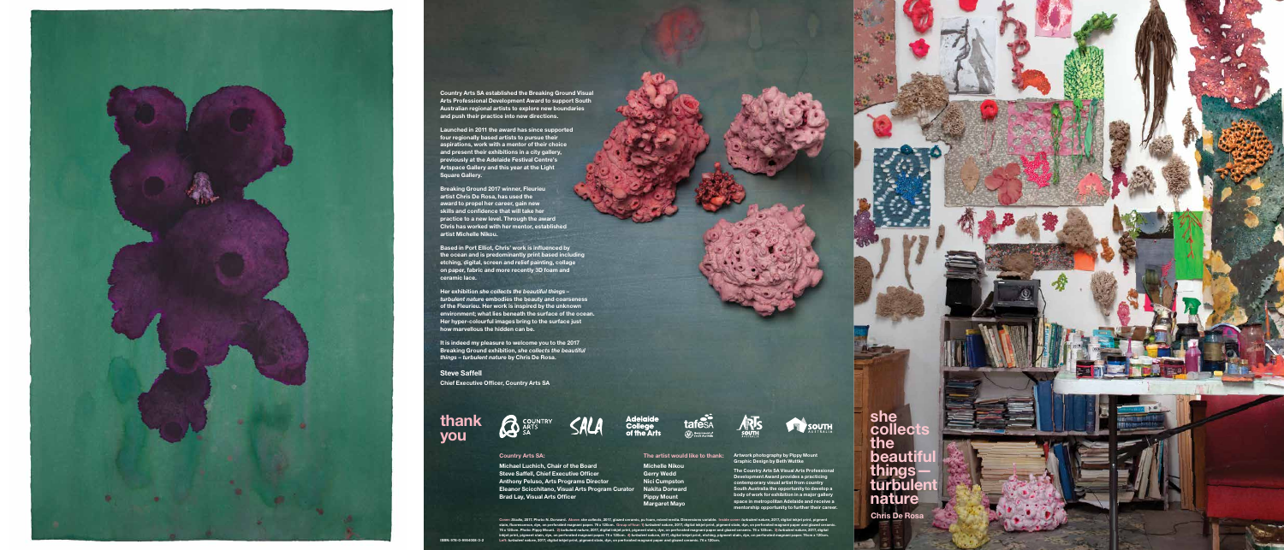## Country Arts SA:

Michael Luchich, Chair of the Board Steve Saffell, Chief Executive Officer Anthony Peluso, Arts Programs Director Eleanor Scicchitano, Visual Arts Program Curator Nakita Dorward Brad Lay, Visual Arts Officer









The Country Arts SA Visual Arts Professional Development Award provides a practicing contemporary visual artist from country South Australia the opportunity to develop a body of work for exhibition in a major gallery space in metropolitan Adelaide and receive a mentorship opportunity to further their career.

**THE SOUTH** 

Cover: *Studio*, 2017. Photo: N. Dorward. Above: *she collects*, 2017, glazed ceramic, pu foam, mixed media. Dimensions variable. Inside cover: *turbulent nature*, 2017, digital inkjet print, pigment stain, fluorescence, dye, on perforated magnani paper. 76 x 120cm. Group of four: 1) *turbulent nature,* 2017, digital inkjet print, pigment stain, dye, on perforated magnani paper and glazed ceramic.<br>76 x 120cm. Photo: Pi

The artist would like to thank:

**thank** you

> Michelle Nikou Gerry Wedd Nici Cumpston Pippy Mount Margaret Mayo

**B** COUNTRY





Country Arts SA established the Breaking Ground Visual Arts Professional Development Award to support South Australian regional artists to explore new boundaries and push their practice into new directions.

Launched in 2011 the award has since supported four regionally based artists to pursue their aspirations, work with a mentor of their choice and present their exhibitions in a city gallery, previously at the Adelaide Festival Centre's Artspace Gallery and this year at the Light Square Gallery.

Breaking Ground 2017 winner, Fleurieu artist Chris De Rosa, has used the award to propel her career, gain new skills and confidence that will take her practice to a new level. Through the award **Chris has worked with her mentor, established** artist Michelle Nikou.

Based in Port Elliot, Chris' work is influenced by the ocean and is predominantly print based including etching, digital, screen and relief painting, collage on paper, fabric and more recently 3D foam and ceramic lace.

Her exhibition *she collects the beautiful things – turbulent nature* embodies the beauty and coarseness of the Fleurieu. Her work is inspired by the unknown environment; what lies beneath the surface of the ocean. Her hyper-colourful images bring to the surface just how marvellous the hidden can be.

It is indeed my pleasure to welcome you to the 2017 Breaking Ground exhibition, *she collects the beautiful things – turbulent nature* by Chris De Rosa.

Steve Saffell Chief Executive Officer, Country Arts SA

Chris De Rosa

she collects the beautifu things turbul nature